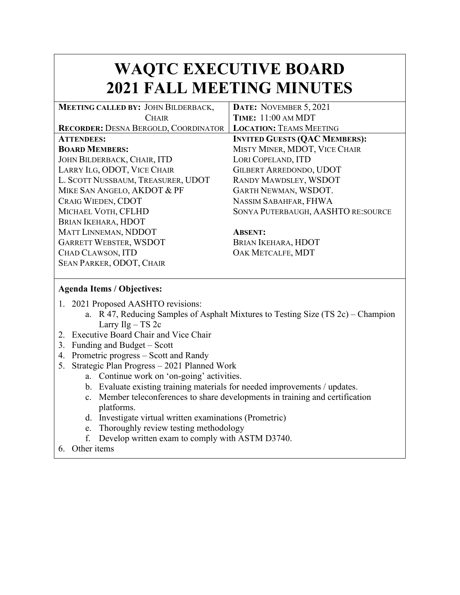## **WAQTC EXECUTIVE BOARD 2021 FALL MEETING MINUTES**

| MEETING CALLED BY: JOHN BILDERBACK,         | DATE: NOVEMBER 5, 2021               |  |
|---------------------------------------------|--------------------------------------|--|
| <b>CHAIR</b>                                | <b>TIME: 11:00 AM MDT</b>            |  |
| <b>RECORDER: DESNA BERGOLD, COORDINATOR</b> | <b>LOCATION: TEAMS MEETING</b>       |  |
| <b>ATTENDEES:</b>                           | <b>INVITED GUESTS (QAC MEMBERS):</b> |  |
| <b>BOARD MEMBERS:</b>                       | MISTY MINER, MDOT, VICE CHAIR        |  |
| JOHN BILDERBACK, CHAIR, ITD                 | LORI COPELAND, ITD                   |  |
| LARRY ILG, ODOT, VICE CHAIR                 | <b>GILBERT ARREDONDO, UDOT</b>       |  |
| L. SCOTT NUSSBAUM, TREASURER, UDOT          | <b>RANDY MAWDSLEY, WSDOT</b>         |  |
| MIKE SAN ANGELO, AKDOT & PF                 | GARTH NEWMAN, WSDOT.                 |  |
| CRAIG WIEDEN, CDOT                          | NASSIM SABAHFAR, FHWA                |  |
| MICHAEL VOTH, CFLHD                         | SONYA PUTERBAUGH, AASHTO RE: SOURCE  |  |
| BRIAN IKEHARA, HDOT                         |                                      |  |
| MATT LINNEMAN, NDDOT                        | <b>ABSENT:</b>                       |  |
| <b>GARRETT WEBSTER, WSDOT</b>               | BRIAN IKEHARA, HDOT                  |  |
| CHAD CLAWSON, ITD                           | OAK METCALFE, MDT                    |  |
| <b>SEAN PARKER, ODOT, CHAIR</b>             |                                      |  |

## **Agenda Items / Objectives:**

- 1. 2021 Proposed AASHTO revisions:
	- a. R 47, Reducing Samples of Asphalt Mixtures to Testing Size (TS 2c) Champion Larry Ilg – TS 2c
- 2. Executive Board Chair and Vice Chair
- 3. Funding and Budget Scott
- 4. Prometric progress Scott and Randy
- 5. Strategic Plan Progress 2021 Planned Work
	- a. Continue work on 'on-going' activities.
	- b. Evaluate existing training materials for needed improvements / updates.
	- c. Member teleconferences to share developments in training and certification platforms.
	- d. Investigate virtual written examinations (Prometric)
	- e. Thoroughly review testing methodology
	- f. Develop written exam to comply with ASTM D3740.
- 6. Other items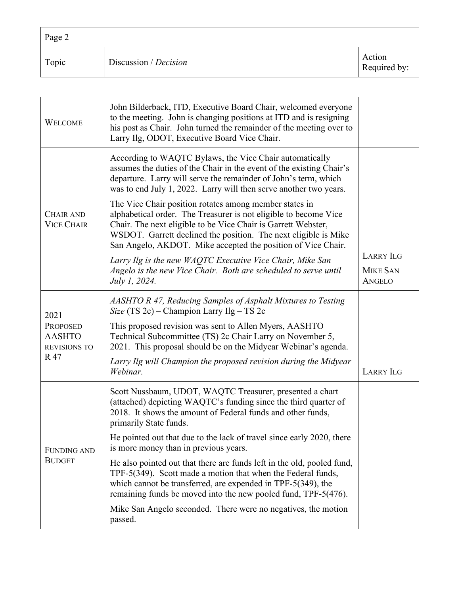| Page 2 |                       |                        |
|--------|-----------------------|------------------------|
| Topic  | Discussion / Decision | Action<br>Required by: |

| <b>WELCOME</b>                                                         | John Bilderback, ITD, Executive Board Chair, welcomed everyone<br>to the meeting. John is changing positions at ITD and is resigning<br>his post as Chair. John turned the remainder of the meeting over to<br>Larry Ilg, ODOT, Executive Board Vice Chair.                                                                    |                                  |
|------------------------------------------------------------------------|--------------------------------------------------------------------------------------------------------------------------------------------------------------------------------------------------------------------------------------------------------------------------------------------------------------------------------|----------------------------------|
| <b>CHAIR AND</b><br><b>VICE CHAIR</b>                                  | According to WAQTC Bylaws, the Vice Chair automatically<br>assumes the duties of the Chair in the event of the existing Chair's<br>departure. Larry will serve the remainder of John's term, which<br>was to end July 1, 2022. Larry will then serve another two years.                                                        |                                  |
|                                                                        | The Vice Chair position rotates among member states in<br>alphabetical order. The Treasurer is not eligible to become Vice<br>Chair. The next eligible to be Vice Chair is Garrett Webster,<br>WSDOT. Garrett declined the position. The next eligible is Mike<br>San Angelo, AKDOT. Mike accepted the position of Vice Chair. |                                  |
|                                                                        | Larry Ilg is the new WAQTC Executive Vice Chair, Mike San                                                                                                                                                                                                                                                                      | <b>LARRY ILG</b>                 |
|                                                                        | Angelo is the new Vice Chair. Both are scheduled to serve until<br><i>July 1, 2024.</i>                                                                                                                                                                                                                                        | <b>MIKE SAN</b><br><b>ANGELO</b> |
| 2021<br><b>PROPOSED</b><br><b>AASHTO</b><br><b>REVISIONS TO</b><br>R47 | AASHTO R 47, Reducing Samples of Asphalt Mixtures to Testing<br>Size (TS 2c) – Champion Larry Ilg – TS 2c                                                                                                                                                                                                                      |                                  |
|                                                                        | This proposed revision was sent to Allen Myers, AASHTO<br>Technical Subcommittee (TS) 2c Chair Larry on November 5,<br>2021. This proposal should be on the Midyear Webinar's agenda.                                                                                                                                          |                                  |
|                                                                        | Larry Ilg will Champion the proposed revision during the Midyear<br>Webinar.                                                                                                                                                                                                                                                   | <b>LARRY ILG</b>                 |
| FUNDING AND<br><b>BUDGET</b>                                           | Scott Nussbaum, UDOT, WAQTC Treasurer, presented a chart<br>(attached) depicting WAQTC's funding since the third quarter of<br>2018. It shows the amount of Federal funds and other funds,<br>primarily State funds.                                                                                                           |                                  |
|                                                                        | He pointed out that due to the lack of travel since early 2020, there<br>is more money than in previous years.                                                                                                                                                                                                                 |                                  |
|                                                                        | He also pointed out that there are funds left in the old, pooled fund,<br>TPF-5(349). Scott made a motion that when the Federal funds,<br>which cannot be transferred, are expended in TPF-5(349), the<br>remaining funds be moved into the new pooled fund, TPF-5(476).                                                       |                                  |
|                                                                        | Mike San Angelo seconded. There were no negatives, the motion<br>passed.                                                                                                                                                                                                                                                       |                                  |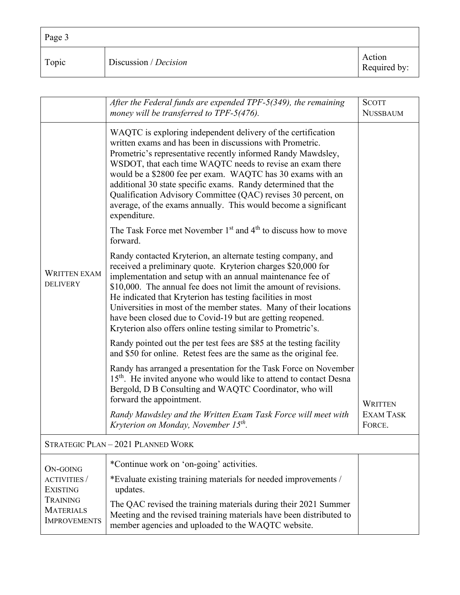| $\vert$ Page 3 |                       |                        |
|----------------|-----------------------|------------------------|
| Topic          | Discussion / Decision | Action<br>Required by: |

|                                                                                               | After the Federal funds are expended TPF-5(349), the remaining<br>money will be transferred to $TPF-5(476)$ .                                                                                                                                                                                                                                                                                                                                                                                                                                                                                                   | <b>SCOTT</b><br><b>NUSSBAUM</b> |  |
|-----------------------------------------------------------------------------------------------|-----------------------------------------------------------------------------------------------------------------------------------------------------------------------------------------------------------------------------------------------------------------------------------------------------------------------------------------------------------------------------------------------------------------------------------------------------------------------------------------------------------------------------------------------------------------------------------------------------------------|---------------------------------|--|
| <b>WRITTEN EXAM</b><br><b>DELIVERY</b>                                                        | WAQTC is exploring independent delivery of the certification<br>written exams and has been in discussions with Prometric.<br>Prometric's representative recently informed Randy Mawdsley,<br>WSDOT, that each time WAQTC needs to revise an exam there<br>would be a \$2800 fee per exam. WAQTC has 30 exams with an<br>additional 30 state specific exams. Randy determined that the<br>Qualification Advisory Committee (QAC) revises 30 percent, on<br>average, of the exams annually. This would become a significant<br>expenditure.<br>The Task Force met November $1st$ and $4th$ to discuss how to move |                                 |  |
|                                                                                               | forward.                                                                                                                                                                                                                                                                                                                                                                                                                                                                                                                                                                                                        |                                 |  |
|                                                                                               | Randy contacted Kryterion, an alternate testing company, and<br>received a preliminary quote. Kryterion charges \$20,000 for<br>implementation and setup with an annual maintenance fee of<br>\$10,000. The annual fee does not limit the amount of revisions.<br>He indicated that Kryterion has testing facilities in most<br>Universities in most of the member states. Many of their locations<br>have been closed due to Covid-19 but are getting reopened.<br>Kryterion also offers online testing similar to Prometric's.                                                                                |                                 |  |
|                                                                                               | Randy pointed out the per test fees are \$85 at the testing facility<br>and \$50 for online. Retest fees are the same as the original fee.                                                                                                                                                                                                                                                                                                                                                                                                                                                                      |                                 |  |
|                                                                                               | Randy has arranged a presentation for the Task Force on November<br>15 <sup>th</sup> . He invited anyone who would like to attend to contact Desna<br>Bergold, D B Consulting and WAQTC Coordinator, who will<br>forward the appointment.                                                                                                                                                                                                                                                                                                                                                                       | <b>WRITTEN</b>                  |  |
|                                                                                               | Randy Mawdsley and the Written Exam Task Force will meet with<br>Kryterion on Monday, November 15 <sup>th</sup> .                                                                                                                                                                                                                                                                                                                                                                                                                                                                                               | <b>EXAM TASK</b><br>FORCE.      |  |
| STRATEGIC PLAN-2021 PLANNED WORK                                                              |                                                                                                                                                                                                                                                                                                                                                                                                                                                                                                                                                                                                                 |                                 |  |
| ON-GOING                                                                                      | *Continue work on 'on-going' activities.                                                                                                                                                                                                                                                                                                                                                                                                                                                                                                                                                                        |                                 |  |
| <b>ACTIVITIES</b> /<br><b>EXISTING</b><br>TRAINING<br><b>MATERIALS</b><br><b>IMPROVEMENTS</b> | *Evaluate existing training materials for needed improvements /<br>updates.                                                                                                                                                                                                                                                                                                                                                                                                                                                                                                                                     |                                 |  |
|                                                                                               | The QAC revised the training materials during their 2021 Summer<br>Meeting and the revised training materials have been distributed to<br>member agencies and uploaded to the WAQTC website.                                                                                                                                                                                                                                                                                                                                                                                                                    |                                 |  |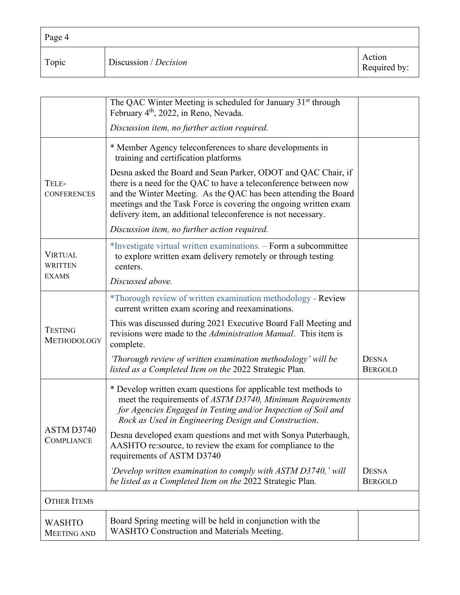| $\vert$ Page 4 |                       |                        |
|----------------|-----------------------|------------------------|
| Topic          | Discussion / Decision | Action<br>Required by: |

|                                     | The QAC Winter Meeting is scheduled for January 31 <sup>st</sup> through<br>February 4 <sup>th</sup> , 2022, in Reno, Nevada.                                                                                                                                                                                                             |                                |
|-------------------------------------|-------------------------------------------------------------------------------------------------------------------------------------------------------------------------------------------------------------------------------------------------------------------------------------------------------------------------------------------|--------------------------------|
|                                     | Discussion item, no further action required.                                                                                                                                                                                                                                                                                              |                                |
|                                     | * Member Agency teleconferences to share developments in<br>training and certification platforms                                                                                                                                                                                                                                          |                                |
| TELE-<br><b>CONFERENCES</b>         | Desna asked the Board and Sean Parker, ODOT and QAC Chair, if<br>there is a need for the QAC to have a teleconference between now<br>and the Winter Meeting. As the QAC has been attending the Board<br>meetings and the Task Force is covering the ongoing written exam<br>delivery item, an additional teleconference is not necessary. |                                |
|                                     | Discussion item, no further action required.                                                                                                                                                                                                                                                                                              |                                |
| <b>VIRTUAL</b><br><b>WRITTEN</b>    | *Investigate virtual written examinations. - Form a subcommittee<br>to explore written exam delivery remotely or through testing<br>centers.                                                                                                                                                                                              |                                |
| <b>EXAMS</b>                        | Discussed above.                                                                                                                                                                                                                                                                                                                          |                                |
| <b>TESTING</b><br>METHODOLOGY       | *Thorough review of written examination methodology - Review<br>current written exam scoring and reexaminations.                                                                                                                                                                                                                          |                                |
|                                     | This was discussed during 2021 Executive Board Fall Meeting and<br>revisions were made to the <i>Administration Manual</i> . This item is<br>complete.                                                                                                                                                                                    |                                |
|                                     | 'Thorough review of written examination methodology' will be<br>listed as a Completed Item on the 2022 Strategic Plan.                                                                                                                                                                                                                    | <b>DESNA</b><br><b>BERGOLD</b> |
| ASTM D3740<br><b>COMPLIANCE</b>     | * Develop written exam questions for applicable test methods to<br>meet the requirements of ASTM D3740, Minimum Requirements<br>for Agencies Engaged in Testing and/or Inspection of Soil and<br>Rock as Used in Engineering Design and Construction.                                                                                     |                                |
|                                     | Desna developed exam questions and met with Sonya Puterbaugh,<br>AASHTO re: source, to review the exam for compliance to the<br>requirements of ASTM D3740                                                                                                                                                                                |                                |
|                                     | 'Develop written examination to comply with ASTM D3740,' will<br>be listed as a Completed Item on the 2022 Strategic Plan.                                                                                                                                                                                                                | <b>DESNA</b><br><b>BERGOLD</b> |
| <b>OTHER ITEMS</b>                  |                                                                                                                                                                                                                                                                                                                                           |                                |
| <b>WASHTO</b><br><b>MEETING AND</b> | Board Spring meeting will be held in conjunction with the<br>WASHTO Construction and Materials Meeting.                                                                                                                                                                                                                                   |                                |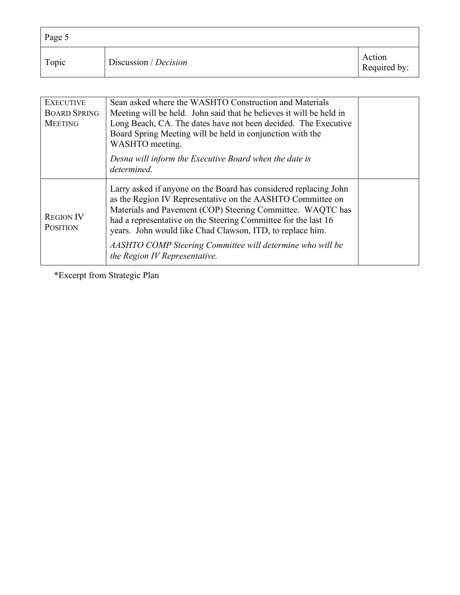| Page 5 |                       |                        |
|--------|-----------------------|------------------------|
| Topic  | Discussion / Decision | Action<br>Required by: |

| <b>EXECUTIVE</b><br><b>BOARD SPRING</b><br><b>MEETING</b> | Sean asked where the WASHTO Construction and Materials<br>Meeting will be held. John said that he believes it will be held in<br>Long Beach, CA. The dates have not been decided. The Executive<br>Board Spring Meeting will be held in conjunction with the<br>WASHTO meeting.                                                                                                                                           |  |
|-----------------------------------------------------------|---------------------------------------------------------------------------------------------------------------------------------------------------------------------------------------------------------------------------------------------------------------------------------------------------------------------------------------------------------------------------------------------------------------------------|--|
|                                                           | Desna will inform the Executive Board when the date is<br>determined.                                                                                                                                                                                                                                                                                                                                                     |  |
| <b>REGION IV</b><br><b>POSITION</b>                       | Larry asked if anyone on the Board has considered replacing John<br>as the Region IV Representative on the AASHTO Committee on<br>Materials and Pavement (COP) Steering Committee. WAQTC has<br>had a representative on the Steering Committee for the last 16<br>years. John would like Chad Clawson, ITD, to replace him.<br>AASHTO COMP Steering Committee will determine who will be<br>the Region IV Representative. |  |

\*Excerpt from Strategic Plan